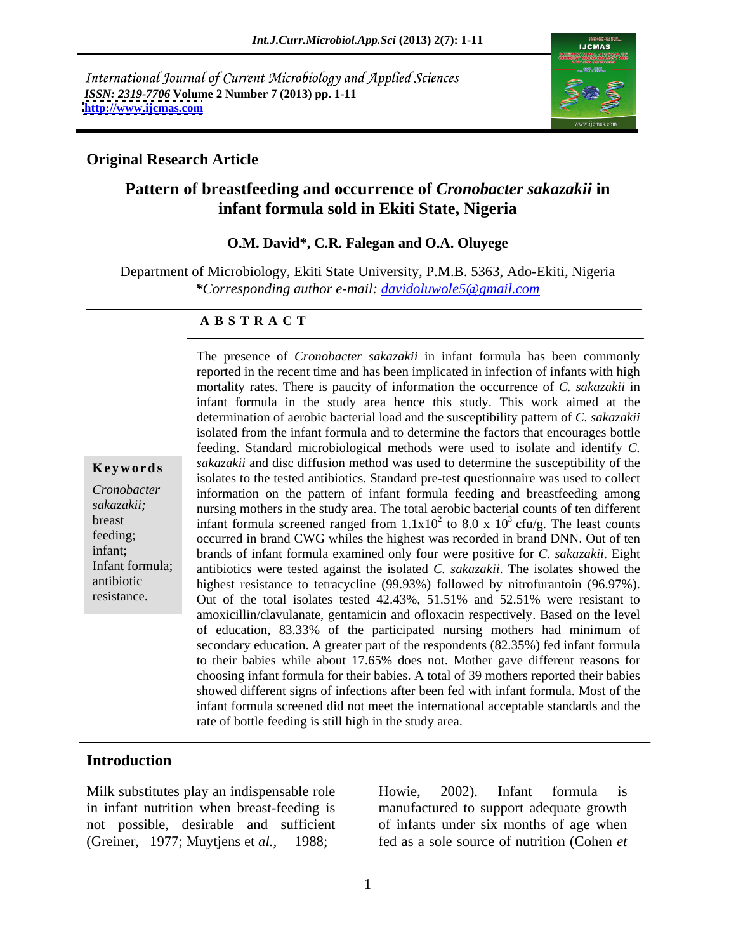International Journal of Current Microbiology and Applied Sciences *ISSN: 2319-7706* **Volume 2 Number 7 (2013) pp. 1-11 <http://www.ijcmas.com>**



### **Original Research Article**

# **Pattern of breastfeeding and occurrence of** *Cronobacter sakazakii* **in infant formula sold in Ekiti State, Nigeria**

**O.M. David\*, C.R. Falegan and O.A. Oluyege**

Department of Microbiology, Ekiti State University, P.M.B. 5363, Ado-Ekiti, Nigeria *\*Corresponding author e-mail: davidoluwole5@gmail.com*

### **A B S T R A C T**

**Keywords** *sakazakii* and disc diffusion method was used to determine the susceptibility of the *Cronobacter*  information on the pattern of infant formula feeding and breastfeeding among sakazakii; nursing mothers in the study area. The total aerobic bacterial counts of ten different breast infant formula screened ranged from  $1.1x10^2$  to 8.0 x  $10^3$  cfu/g. The least counts feeding; occurred in brand CWG whiles the highest was recorded in brand DNN. Out of ten infant; brands of infant formula examined only four were positive for *C. sakazakii*. Eight Infant formula; antibiotics were tested against the isolated *C. sakazakii*. The isolates showed the antibiotic highest resistance to tetracycline (99.93%) followed by nitrofurantoin (96.97%). resistance. Out of the total isolates tested 42.43%, 51.51% and 52.51% were resistant to The presence of *Cronobacter sakazakii* in infant formula has been commonly reported in the recent time and has been implicated in infection of infants with high mortality rates. There is paucity of information the occurrence of *C. sakazakii* in infant formula in the study area hence this study. This work aimed at the determination of aerobic bacterial load and the susceptibility pattern of *C. sakazakii* isolated from the infant formula and to determine the factors that encourages bottle feeding. Standard microbiological methods were used to isolate and identify *C.*  isolates to the tested antibiotics. Standard pre-test questionnaire was used to collect amoxicillin/clavulanate, gentamicin and ofloxacin respectively. Based on the level of education, 83.33% of the participated nursing mothers had minimum of secondary education. A greater part of the respondents (82.35%) fed infant formula to their babies while about 17.65% does not. Mother gave different reasons for choosing infant formula for their babies. A total of 39 mothers reported their babies showed different signs of infections after been fed with infant formula. Most of the infant formula screened did not meet the international acceptable standards and the rate of bottle feeding is still high in the study area.

## **Introduction**

(Greiner, 1977; Muytjens et *al.,* 1988; fed as a sole source of nutrition (Cohen *et* 

.

Milk substitutes play an indispensable role howie, 2002). Infant formula is in infant nutrition when breast-feeding is manufactured to support adequate growth not possible, desirable and sufficient of infants under six months of age when Howie, 2002). Infant formula is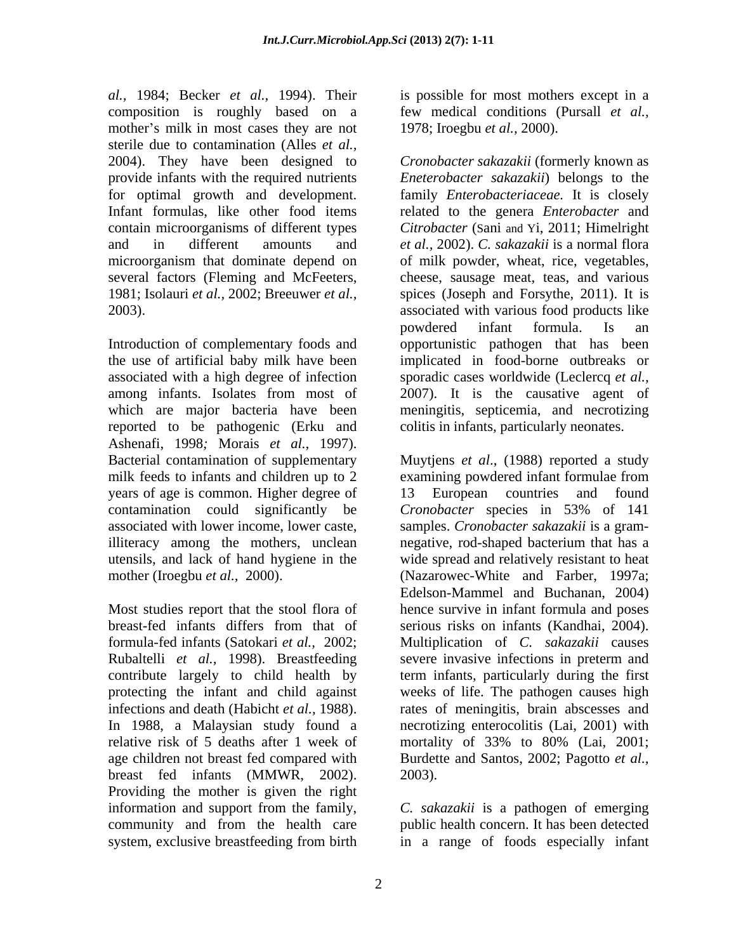*al.,* 1984; Becker *et al.,* 1994). Their is possible for most mothers except in a composition is roughly based on a few medical conditions (Pursall *et al.,* mother's milk in most cases they are not sterile due to contamination (Alles *et al.,*

reported to be pathogenic (Erku and Ashenafi, 1998*;* Morais *et al.,* 1997). Bacterial contamination of supplementary milk feeds to infants and children up to 2 examining powdered infant formulae from years of age is common. Higher degree of contamination could significantly be *Cronobacter* species in 53% of 141 illiteracy among the mothers, unclean energy negative, rod-shaped bacterium that has a

Rubaltelli *et al.,* 1998). Breastfeeding relative risk of 5 deaths after 1 week of mortality of 33% to 80% (Lai, 2001; breast fed infants (MMWR, 2002). Providing the mother is given the right information and support from the family, *C. sakazakii* is a pathogen of emerging community and from the health care public health concern. It has been detected system, exclusive breastfeeding from birth in a range of foods especially infant

1978; Iroegbu *et al.,* 2000).

2004). They have been designed to *Cronobacter sakazakii* (formerly known as provide infants with the required nutrients *Eneterobacter sakazakii*) belongs to the for optimal growth and development. family *Enterobacteriaceae.* It is closely Infant formulas, like other food items related to the genera *Enterobacter* and contain microorganisms of different types *Citrobacter* (Sani and Yi, 2011; Himelright and in different amounts and *et al.,* 2002). *C. sakazakii* is a normal flora microorganism that dominate depend on of milk powder, wheat, rice, vegetables, several factors (Fleming and McFeeters, cheese, sausage meat, teas, and various 1981; Isolauri *et al.,* 2002; Breeuwer *et al.,*  spices (Joseph and Forsythe, 2011). It is 2003). associated with various food products like Introduction of complementary foods and opportunistic pathogen that has been the use of artificial baby milk have been implicated in food-borne outbreaks or associated with a high degree of infection sporadic cases worldwide (Leclercq *et al.,* among infants. Isolates from most of 2007). It is the causative agent of which are major bacteria have been meningitis, septicemia, and necrotizing powdered infant formula. Is an colitis in infants, particularly neonates.

associated with lower income, lower caste, samples. *Cronobacter sakazakii* is a gramutensils, and lack of hand hygiene in the wide spread and relatively resistant to heat mother (Iroegbu *et al.,* 2000). (Nazarowec-White and Farber, 1997a; Most studies report that the stool flora of hence survive in infant formula and poses breast-fed infants differs from that of formula-fed infants (Satokari *et al.,* 2002; Multiplication of *C. sakazakii* causes contribute largely to child health by term infants, particularly during the first protecting the infant and child against weeks of life. The pathogen causes high infections and death (Habicht *et al.,* 1988). rates of meningitis, brain abscesses and In 1988, a Malaysian study found a necrotizing enterocolitis (Lai, 2001) with age children not breast fed compared with Burdette and Santos, 2002; Pagotto *et al.,* Muytjens *et al*., (1988) reported a study examining powdered infant formulae from European countries and found *Cronobacter* species in 53% of 141 negative, rod-shaped bacterium that has a Edelson-Mammel and Buchanan, 2004) serious risks on infants (Kandhai, 2004). severe invasive infections in preterm and mortality of 33% to 80% (Lai, 2001; 2003).

in a range of foods especially infant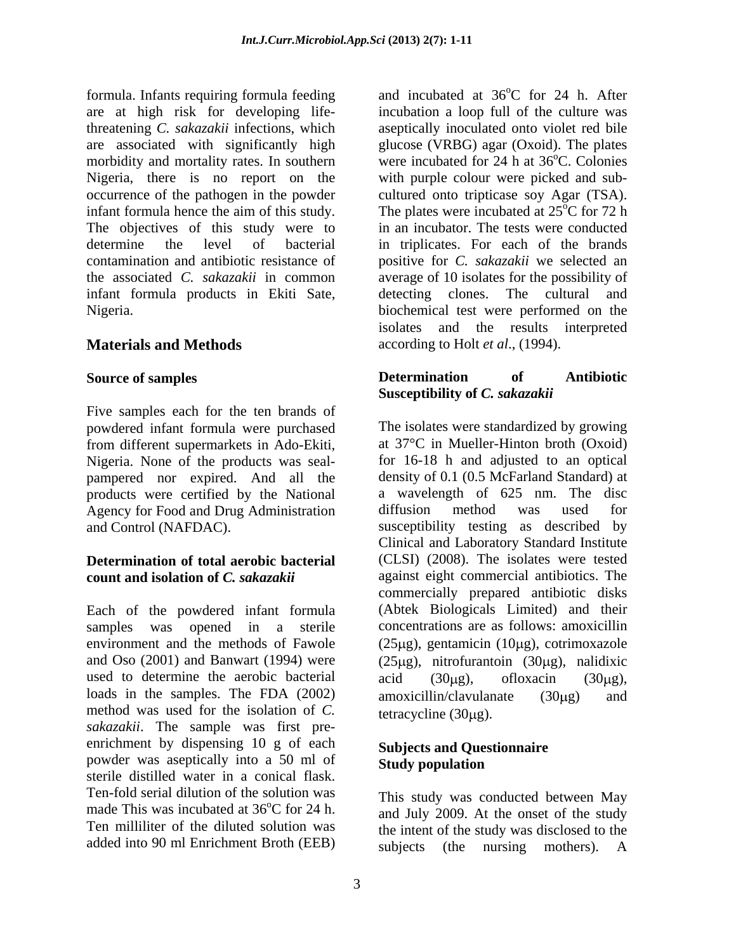formula. Infants requiring formula feeding are at high risk for developing lifethreatening *C. sakazakii* infections, which aseptically inoculated onto violet red bile are associated with significantly high glucose (VRBG) agar (Oxoid). The plates morbidity and mortality rates. In southern Nigeria, there is no report on the with purple colour were picked and sub occurrence of the pathogen in the powder cultured onto tripticase soy Agar (TSA). infant formula hence the aim of this study. The objectives of this study were to in an incubator. The tests were conducted determine the level of bacterial in triplicates. For each of the brands contamination and antibiotic resistance of positive for *C. sakazakii* we selected an the associated *C. sakazakii* in common average of 10 isolates for the possibility of infant formula products in Ekiti Sate, detecting clones. The cultural and Nigeria. biochemical test were performed on the

Five samples each for the ten brands of powdered infant formula were purchased from different supermarkets in Ado-Ekiti, Nigeria. None of the products was seal pampered nor expired. And all the products were certified by the National a wavelength of 625 nm. The Agency for Food and Drug Administration diffusion method was used Agency for Food and Drug Administration diffusion method was used for

samples was opened in a sterile used to determine the aerobic bacterial  $\alpha$  acid (30 $\mu$ g), of loxacin (30 $\mu$ g), loads in the samples. The FDA (2002) amoxicillin/clavulanate (30µg) and method was used for the isolation of *C*. tetracycline (30µg). *sakazakii*. The sample was first pre enrichment by dispensing 10 g of each powder was aseptically into a 50 ml of Study population sterile distilled water in a conical flask. Ten-fold serial dilution of the solution was made This was incubated at  $36^{\circ}$ C for 24 h. and July 2009. At the onset of the study Ten milliliter of the diluted solution was the intent of the study was disclosed to the

**Materials and Methods** according to Holt *et al.*, (1994). and incubated at 36°C for 24 h. After oC for 24 h. After incubation a loop full of the culture was were incubated for 24 h at 36<sup>o</sup>C. Colonies <sup>o</sup>C. Colonies The plates were incubated at 25<sup>o</sup>C for 72 h  $\rm ^{o}C$  for 72 h isolates and the results interpreted

### **Source of samples Source of samples Determination of Antibiotic Determination of Antibiotic Susceptibility of** *C. sakazakii*

and Control (NAFDAC). susceptibility testing as described by **Determination of total aerobic bacterial** (CLSI) (2008). The isolates were tested **count and isolation of** *C. sakazakii* against eight commercial antibiotics. The Each of the powdered infant formula (Abtek Biologicals Limited) and their environment and the methods of Fawole  $(25\mu g)$ , gentamicin  $(10\mu g)$ , cotrimoxazole and Oso  $(2001)$  and Banwart  $(1994)$  were  $(25\mu g)$ , nitrofurantoin  $(30\mu g)$ , nalidixic The isolates were standardized by growing at 37°C in Mueller-Hinton broth (Oxoid) for 16-18 h and adjusted to an optical density of 0.1 (0.5 McFarland Standard) at a wavelength of 625 nm. The disc diffusion method was used for Clinical and Laboratory Standard Institute commercially prepared antibiotic disks concentrations are as follows: amoxicillin acid  $(30\mu g)$ , ofloxacin  $(30\mu g)$ , amoxicillin/clavulanate (30µg) and tetracycline  $(30\mu g)$ .

### **Subjects and Questionnaire Study population**

added into 90 ml Enrichment Broth (EEB) subjects (the nursing mothers). AThis study was conducted between May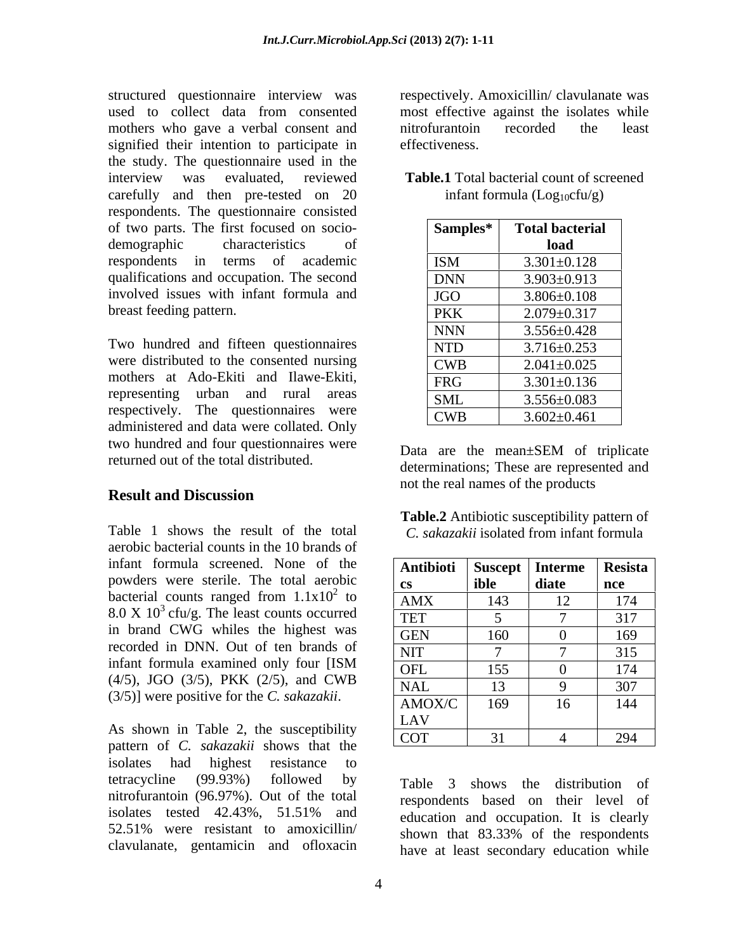structured questionnaire interview was respectively. Amoxicillin/ clavulanate was used to collect data from consented most effective against the isolates while mothers who gave a verbal consent and introfurantion recorded the least signified their intention to participate in effectiveness. the study. The questionnaire used in the interview was evaluated, reviewed **Table.1** Total bacterial count of screened carefully and then pre-tested on 20 respondents. The questionnaire consisted of two parts. The first focused on socio demographic characteristics of **a l load** respondents in terms of academic  $|ISM|$   $3.301 \pm 0.128$ qualifications and occupation. The second involved issues with infant formula and breast feeding pattern.

Two hundred and fifteen questionnaires were distributed to the consented nursing mothers at Ado-Ekiti and Ilawe-Ekiti, representing urban and rural areas respectively. The questionnaires were administered and data were collated. Only two hundred and four questionnaires were<br>Data are the mean±SEM of triplicate returned out of the total distributed.

## **Result and Discussion**

Table 1 shows the result of the total *C. sakazakii* isolated from infant formula aerobic bacterial counts in the 10 brands of infant formula screened. None of the powders were sterile. The total aerobic bacterial counts ranged from  $1.1x10^2$  to in brand CWG whiles the highest was recorded in DNN. Out of ten brands of (4/5), JGO (3/5), PKK (2/5), and CWB

pattern of *C. sakazakii* shows that the isolates had highest resistance to tetracycline (99.93%) followed by Table 3 shows the distribution of nitrofurantoin (96.97%). Out of the total isolates tested  $42.43\%$ ,  $51.51\%$  and  $\overline{e}$  education and occupation It is clearly 52.51% were resistant to amoxicillin/ shown that 83.33% of the respondents clavulanate, gentamicin and ofloxacin

nitrofurantoin recorded the least effectiveness.

infant formula  $(Log<sub>10</sub>cfu/g)$ 

| Samples*   | <b>Total bacterial</b> |
|------------|------------------------|
|            | load                   |
|            | $3.301 \pm 0.128$      |
| <b>DNN</b> | $3.903 \pm 0.913$      |
|            | $3.806 \pm 0.108$      |
| <b>PKK</b> | $2.079 \pm 0.317$      |
| <b>NNN</b> | $3.556 \pm 0.428$      |
| <b>NTD</b> | $3.716 \pm 0.253$      |
| <b>CWB</b> | $2.041 \pm 0.025$      |
| FRG        | $3.301 \pm 0.136$      |
| <b>SML</b> | $3.556 \pm 0.083$      |
| <b>CWB</b> | $3.602 \pm 0.461$      |

Data are the mean±SEM of triplicate determinations; These are represented and not the real names of the products

**Table.2** Antibiotic susceptibility pattern of

| diate<br>  ible<br>l nce<br>CS -<br>AMX<br>143<br>$\overline{\text{TET}}$<br><b>GEN</b><br>160<br><b>NIT</b><br>OFL<br>155<br><b>NAL</b><br>AMOX/C<br>10<br>LAV<br>As shown in Table 2, the susceptibility | infant formula screened. None of the                            | <b>Antibioti</b>   Suscept   Interme   Resista |  |      |
|------------------------------------------------------------------------------------------------------------------------------------------------------------------------------------------------------------|-----------------------------------------------------------------|------------------------------------------------|--|------|
|                                                                                                                                                                                                            | powders were sterile. The total aerobic                         |                                                |  |      |
|                                                                                                                                                                                                            | bacterial counts ranged from $1.1x102$ to                       |                                                |  |      |
|                                                                                                                                                                                                            | $8.0 \times 10^3$ cfu/g. The least counts occurred              |                                                |  |      |
|                                                                                                                                                                                                            | in brand CWG whiles the highest was                             |                                                |  |      |
|                                                                                                                                                                                                            | recorded in DNN. Out of ten brands of                           |                                                |  |      |
|                                                                                                                                                                                                            | infant formula examined only four [ISM                          |                                                |  |      |
|                                                                                                                                                                                                            | (4/5), JGO (3/5), PKK (2/5), and CWB                            |                                                |  |      |
|                                                                                                                                                                                                            | (3/5)] were positive for the <i>C. sakazakii</i> .              |                                                |  | -144 |
|                                                                                                                                                                                                            |                                                                 |                                                |  |      |
|                                                                                                                                                                                                            | $\mathbf{r}$ actions of $\mathcal{C}$ extra-gli: shows that the | $\overline{COT}$                               |  |      |

respondents based on their level of education and occupation. It is clearly shown that 83.33% of the respondents have at least secondary education while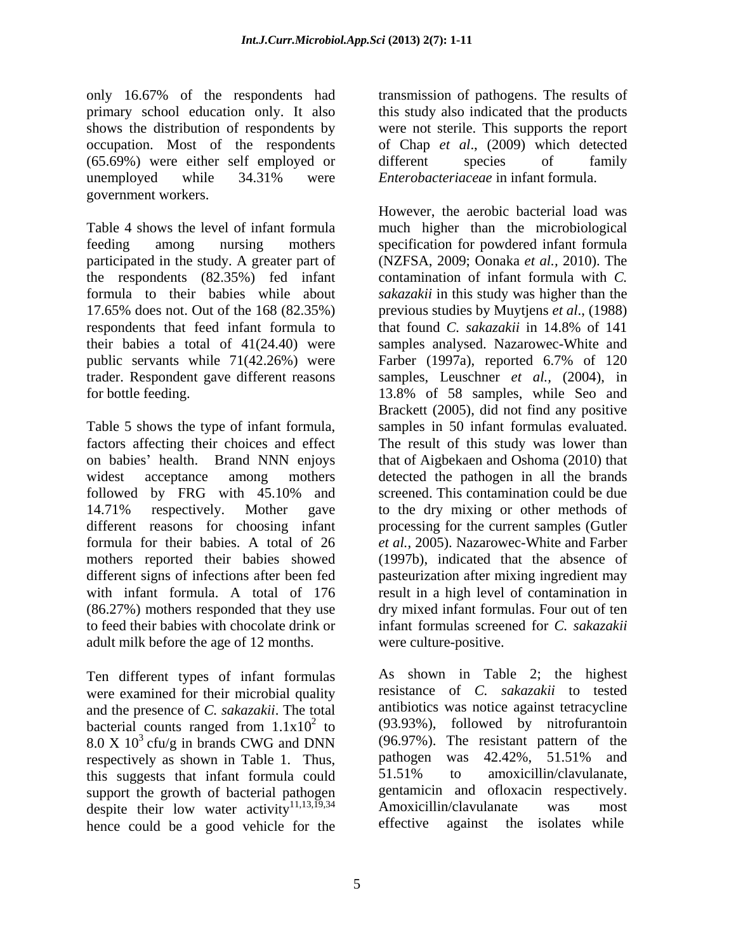only 16.67% of the respondents had primary school education only. It also shows the distribution of respondents by were not sterile. This supports the report occupation. Most of the respondents of Chap *et al*., (2009) which detected (65.69%) were either self employed or unemployed while 34.31% were *Enterobacteriaceae* in infant formula. government workers.

Table 4 shows the level of infant formula much higher than the microbiological feeding among nursing mothers specification for powdered infant formula participated in the study. A greater part of the respondents (82.35%) fed infant formula to their babies while about *sakazakii* in this study was higher than the 17.65% does not. Out of the 168 (82.35%) previous studies by Muytjens *et al*., (1988) respondents that feed infant formula to that found C. sakazakii in 14.8% of 141 their babies a total of 41(24.40) were samples analysed. Nazarowec-White and public servants while 71(42.26%) were Farber (1997a), reported 6.7% of 120 trader. Respondent gave different reasons samples, Leuschner *et al.,* (2004), in for bottle feeding. 13.8% of 58 samples, while Seo and

Table 5 shows the type of infant formula, samples in 50 infant formulas evaluated. factors affecting their choices and effect The result of this study was lower than on babies' health. Brand NNN enjoys that of Aigbekaen and Oshoma (2010) that widest acceptance among mothers detected the pathogen in all the brands followed by FRG with 45.10% and 14.71% respectively. Mother gave to the dry mixing or other methods of different reasons for choosing infant processing for the current samples (Gutler formula for their babies. A total of 26 *et al.*, 2005). Nazarowec-White and Farber mothers reported their babies showed (1997b), indicated that the absence of different signs of infections after been fed pasteurization after mixing ingredient may with infant formula. A total of 176 result in a high level of contamination in (86.27%) mothers responded that they use dry mixed infant formulas. Four out of ten to feed their babies with chocolate drink or infant formulas screened for *C. sakazakii* adult milk before the age of 12 months.

Ten different types of infant formulas were examined for their microbial quality and the presence of *C. sakazakii*. The total bacterial counts ranged from  $1.1x10^2$  to  $(93.93\%)$ , followed by nitrofurantoin  $8.0 \times 10^3$  cfu/g in brands CWG and DNN (96.97%). The resistant pattern of the respectively as shown in Table 1 Thus pathogen was 42.42%, 51.51% and respectively as shown in Table 1. Thus, pathogen was 42.42%, 51.51% and this supposed that infant formula could 51.51% to amoxicillin/clavulanate. this suggests that infant formula could support the growth of bacterial pathogen<br>despite their low water activity  $\frac{11,13,19,34}{11,13,19,34}$  Amoxicillin/clavulanate was most despite their low water activity<sup>11,13,19,34</sup> hence could be a good vehicle for the

transmission of pathogens. The results of this study also indicated that the products different species of family *Enterobacteriaceae* in infant formula.

However, the aerobic bacterial load was (NZFSA, 2009; Oonaka *et al.,* 2010). The contamination of infant formula with *C.*  that found *C. sakazakii* in 14.8% of 141 Farber (1997a), reported 6.7% of 120 Brackett (2005), did not find any positive screened. This contamination could be due were culture-positive.

2 to (93.93%), followed by nitrofurantoin  $3 \text{ cfu/g}$  in brands CWG and DNN  $(96.97\%)$ . The resistant pattern of the Amoxicillin/clavulanate As shown in Table 2; the highest resistance of *C. sakazakii* to tested antibiotics was notice against tetracycline (96.97%). The resistant pattern of the pathogen was 42.42%, 51.51% and 51.51% to amoxicillin/clavulanate, gentamicin and ofloxacin respectively. Amoxicillin/clavulanate was most effective against the isolates while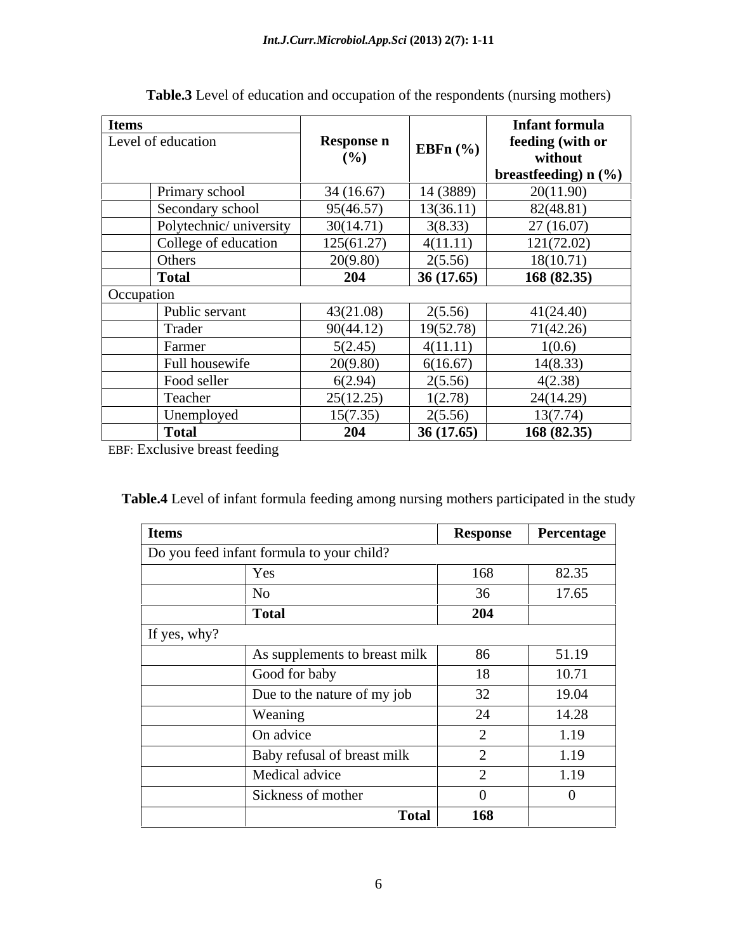| <b>Items</b> |                        |                   |              | <b>Infant formula</b>  |
|--------------|------------------------|-------------------|--------------|------------------------|
|              | Level of education     | <b>Response n</b> | EBFn $(\% )$ | feeding (with or       |
|              |                        | (%)               |              | without                |
|              |                        |                   |              | breastfeeding) $n$ (%) |
|              | Primary school         | 34(16.67)         | 14 (3889)    | 20(11.90)              |
|              | Secondary school       | 95(46.57)         | 13(36.11)    | 82(48.81)              |
|              | Polytechnic/university | 30(14.71)         | 3(8.33)      | 27(16.07)              |
|              | College of education   | 125(61.27)        | 4(11.11)     | 121(72.02)             |
|              | Others                 | 20(9.80)          | 2(5.56)      | 18(10.71)              |
|              | <b>Total</b>           | 204               | 36(17.65)    | 168(82.35)             |
| Occupation   |                        |                   |              |                        |
|              | Public servant         | 43(21.08)         | 2(5.56)      | 41(24.40)              |
|              | Trader                 | 90(44.12)         | 19(52.78)    | 71(42.26)              |
|              | Farmer                 | 5(2.45)           | 4(11.11)     | 1(0.6)                 |
|              | Full housewife         | 20(9.80)          | 6(16.67)     | 14(8.33)               |
|              | Food seller            | 6(2.94)           | 2(5.56)      | 4(2.38)                |
|              | Teacher                | 25(12.25)         | 1(2.78)      | 24(14.29)              |
|              | Unemployed             | 15(7.35)          | 2(5.56)      | 13(7.74)               |
|              | <b>Total</b>           | 204               | 36(17.65)    | 168(82.35)             |

| <b>Table.3</b> Level of education and occupation of the respondents (nursing mothers) |  |
|---------------------------------------------------------------------------------------|--|
|---------------------------------------------------------------------------------------|--|

EBF: Exclusive breast feeding

| <b>Table.4 Level</b><br>s participated in the study<br>g nursing mother:<br>a quula teedh<br>$\sim$ <sup>41</sup> ng amo <sub>tte</sub><br>$\gamma$ t infant .<br>tormul<br>$\ldots$ ULICINT |  |
|----------------------------------------------------------------------------------------------------------------------------------------------------------------------------------------------|--|
|                                                                                                                                                                                              |  |

| <b>Items</b> |                                           | <b>Response</b> | Percentage |
|--------------|-------------------------------------------|-----------------|------------|
|              | Do you feed infant formula to your child? |                 |            |
|              | Yes                                       | 168             | 82.35      |
|              | N <sub>o</sub>                            | 36              | 17.65      |
|              | <b>Total</b>                              | 204             |            |
| If yes, why? |                                           |                 |            |
|              | As supplements to breast milk             | 86              | 51.19      |
|              | Good for baby                             | 18              | 10.71      |
|              | Due to the nature of my job               | 32              | 19.04      |
|              | Weaning                                   | 24              | 14.28      |
|              | On advice                                 |                 | 1.19       |
|              | Baby refusal of breast milk               |                 | 1.19       |
|              | Medical advice                            |                 | 1.19       |
|              | Sickness of mother                        |                 |            |
|              | Total                                     | 168             |            |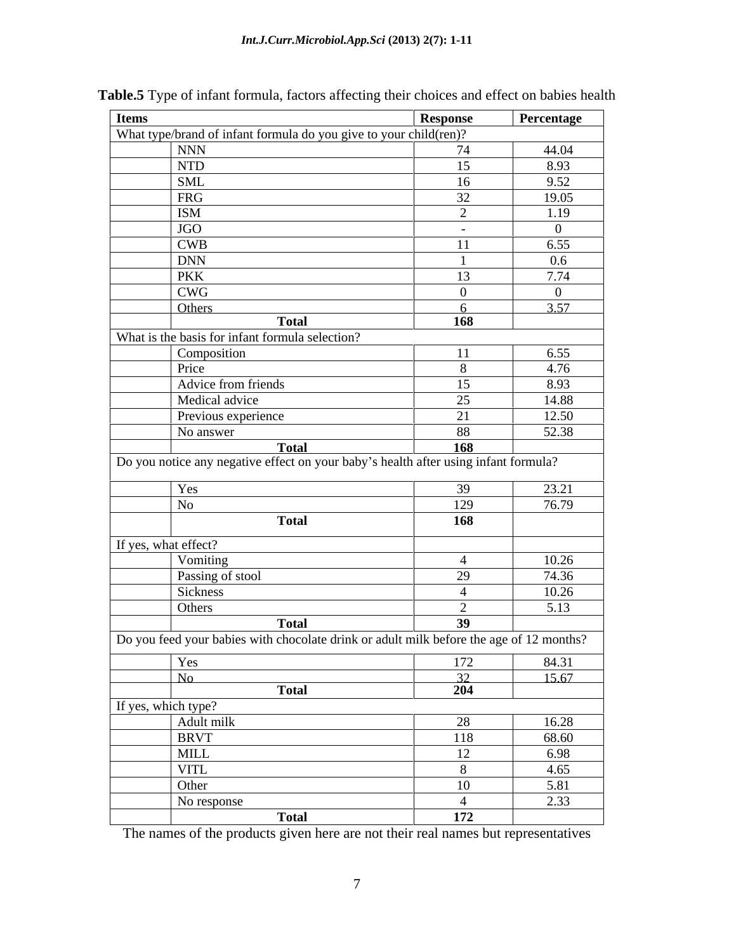| <b>Items</b> |                                                                                         | Response        | Percentage     |
|--------------|-----------------------------------------------------------------------------------------|-----------------|----------------|
|              | What type/brand of infant formula do you give to your child(ren)?                       |                 |                |
|              | <b>NNN</b>                                                                              | 74              | 44.04          |
|              | NTD                                                                                     | 15              | 8.93           |
|              | <b>SML</b>                                                                              | 16              | 9.52           |
|              | FRG                                                                                     | 32              | 19.05          |
|              | <b>ISM</b>                                                                              | $\bigcap$       | 1.19           |
|              | $\vert$ JGO                                                                             | $\sim$ $-$      | $\overline{0}$ |
|              | <b>CWB</b>                                                                              | -11             | 6.55           |
|              | <b>DNN</b>                                                                              |                 | $0.6\,$        |
|              | PKK                                                                                     | 13              | 7.74           |
|              | <b>CWG</b>                                                                              |                 |                |
|              | Others                                                                                  |                 | 3.57           |
|              | <b>Total</b>                                                                            | 168             |                |
|              | What is the basis for infant formula selection?                                         |                 |                |
|              | Composition                                                                             | -11             | 6.55           |
|              | Price                                                                                   |                 | 4.76           |
|              | Advice from friends                                                                     | 15              | 8.93           |
|              | Medical advice                                                                          | 25              | 14.88          |
|              | Previous experience                                                                     | 21              | 12.50          |
|              | No answer                                                                               | 88              | 52.38          |
|              | <b>Total</b>                                                                            | 168             |                |
|              | Do you notice any negative effect on your baby's health after using infant formula?     |                 |                |
|              | Yes                                                                                     | -39             | 23.21          |
|              | No                                                                                      | 129             | 76.79          |
|              | <b>Total</b>                                                                            | 168             |                |
|              |                                                                                         |                 |                |
|              | If yes, what effect?                                                                    |                 |                |
|              | Vomiting                                                                                | $\overline{4}$  | 10.26          |
|              | Passing of stool                                                                        | 29              | 74.36          |
|              | Sickness                                                                                |                 | 10.26          |
|              | Others                                                                                  | $\gamma$        | 5.13           |
|              | <b>Total</b>                                                                            | 39              |                |
|              | Do you feed your babies with chocolate drink or adult milk before the age of 12 months? |                 |                |
|              | Yes                                                                                     | 172             | 84.31          |
|              | No                                                                                      | 32 <sup>°</sup> | 15.67          |
|              | <b>Total</b>                                                                            | 204             |                |
|              | If yes, which type?                                                                     |                 |                |
|              | Adult milk                                                                              | 28              | 16.28          |
|              | BRVT                                                                                    | 118             | 68.60          |
|              | <b>MILL</b>                                                                             | 12              | 6.98           |
|              | <b>VITL</b>                                                                             | $\mathbf{R}$    | 4.65           |
|              | Other                                                                                   | 10              | 5.81           |
|              | No response                                                                             | $\overline{4}$  | 2.33           |
|              | <b>Total</b>                                                                            | 172             |                |

# **Table.5** Type of infant formula, factors affecting their choices and effect on babies health

The names of the products given here are not their real names but representatives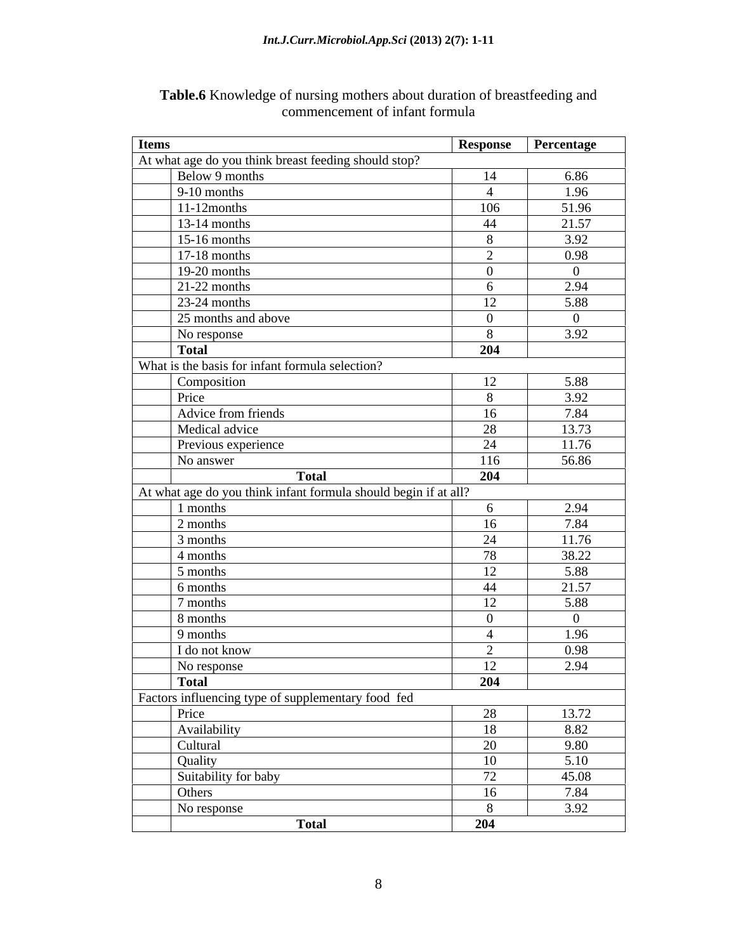| At what age do you think breast feeding should stop?<br>Below 9 months<br>6.86<br>14<br>$9-10$ months<br>1.96<br>$\overline{4}$<br>106<br>51.96<br>11-12months<br>21.57<br>$13-14$ months<br>44<br>3.92<br>$15-16$ months<br>8<br>0.98<br>$17-18$ months<br>2<br>19-20 months<br>$\overline{0}$<br>$\overline{0}$<br>2.94<br>$21-22$ months<br>6<br>5.88<br>$23-24$ months<br>12<br>25 months and above<br>$\Omega$<br>$\overline{0}$<br>3.92<br>8<br>No response<br>204<br><b>Total</b><br>What is the basis for infant formula selection?<br>12<br>5.88<br>Composition<br>8<br>3.92<br>Price<br>Advice from friends<br>7.84<br>16<br>13.73<br>28<br>Medical advice<br>11.76<br>24<br>Previous experience<br>56.86<br>116<br>No answer<br><b>Total</b><br>204<br>At what age do you think infant formula should begin if at all?<br>2.94<br>1 months<br>6<br>7.84<br>16<br>2 months<br>11.76<br>24<br>3 months<br>38.22<br>78<br>4 months<br>5.88<br>12<br>5 months<br>21.57<br>44<br>6 months<br>12<br>5.88<br>7 months<br>8 months<br>$\overline{0}$<br>$\overline{0}$<br>1.96<br>9 months<br>$\overline{4}$<br>2<br>0.98<br>I do not know<br>12<br>2.94<br>No response<br>204<br>Total<br>Factors influencing type of supplementary food fed<br>Price<br>28<br>13.72<br>Availability<br>8.82<br>18<br>Cultural<br>20<br>9.80<br>5.10<br>10<br>Quality<br>Suitability for baby<br>72<br>45.08<br>7.84<br>16<br>Others<br>3.92<br>No response<br>8<br><b>Total</b><br>204 | <b>Items</b> | Response Percentage |
|-----------------------------------------------------------------------------------------------------------------------------------------------------------------------------------------------------------------------------------------------------------------------------------------------------------------------------------------------------------------------------------------------------------------------------------------------------------------------------------------------------------------------------------------------------------------------------------------------------------------------------------------------------------------------------------------------------------------------------------------------------------------------------------------------------------------------------------------------------------------------------------------------------------------------------------------------------------------------------------------------------------------------------------------------------------------------------------------------------------------------------------------------------------------------------------------------------------------------------------------------------------------------------------------------------------------------------------------------------------------------------------------------------------------------------------------------------------------------------|--------------|---------------------|
|                                                                                                                                                                                                                                                                                                                                                                                                                                                                                                                                                                                                                                                                                                                                                                                                                                                                                                                                                                                                                                                                                                                                                                                                                                                                                                                                                                                                                                                                             |              |                     |
|                                                                                                                                                                                                                                                                                                                                                                                                                                                                                                                                                                                                                                                                                                                                                                                                                                                                                                                                                                                                                                                                                                                                                                                                                                                                                                                                                                                                                                                                             |              |                     |
|                                                                                                                                                                                                                                                                                                                                                                                                                                                                                                                                                                                                                                                                                                                                                                                                                                                                                                                                                                                                                                                                                                                                                                                                                                                                                                                                                                                                                                                                             |              |                     |
|                                                                                                                                                                                                                                                                                                                                                                                                                                                                                                                                                                                                                                                                                                                                                                                                                                                                                                                                                                                                                                                                                                                                                                                                                                                                                                                                                                                                                                                                             |              |                     |
|                                                                                                                                                                                                                                                                                                                                                                                                                                                                                                                                                                                                                                                                                                                                                                                                                                                                                                                                                                                                                                                                                                                                                                                                                                                                                                                                                                                                                                                                             |              |                     |
|                                                                                                                                                                                                                                                                                                                                                                                                                                                                                                                                                                                                                                                                                                                                                                                                                                                                                                                                                                                                                                                                                                                                                                                                                                                                                                                                                                                                                                                                             |              |                     |
|                                                                                                                                                                                                                                                                                                                                                                                                                                                                                                                                                                                                                                                                                                                                                                                                                                                                                                                                                                                                                                                                                                                                                                                                                                                                                                                                                                                                                                                                             |              |                     |
|                                                                                                                                                                                                                                                                                                                                                                                                                                                                                                                                                                                                                                                                                                                                                                                                                                                                                                                                                                                                                                                                                                                                                                                                                                                                                                                                                                                                                                                                             |              |                     |
|                                                                                                                                                                                                                                                                                                                                                                                                                                                                                                                                                                                                                                                                                                                                                                                                                                                                                                                                                                                                                                                                                                                                                                                                                                                                                                                                                                                                                                                                             |              |                     |
|                                                                                                                                                                                                                                                                                                                                                                                                                                                                                                                                                                                                                                                                                                                                                                                                                                                                                                                                                                                                                                                                                                                                                                                                                                                                                                                                                                                                                                                                             |              |                     |
|                                                                                                                                                                                                                                                                                                                                                                                                                                                                                                                                                                                                                                                                                                                                                                                                                                                                                                                                                                                                                                                                                                                                                                                                                                                                                                                                                                                                                                                                             |              |                     |
|                                                                                                                                                                                                                                                                                                                                                                                                                                                                                                                                                                                                                                                                                                                                                                                                                                                                                                                                                                                                                                                                                                                                                                                                                                                                                                                                                                                                                                                                             |              |                     |
|                                                                                                                                                                                                                                                                                                                                                                                                                                                                                                                                                                                                                                                                                                                                                                                                                                                                                                                                                                                                                                                                                                                                                                                                                                                                                                                                                                                                                                                                             |              |                     |
|                                                                                                                                                                                                                                                                                                                                                                                                                                                                                                                                                                                                                                                                                                                                                                                                                                                                                                                                                                                                                                                                                                                                                                                                                                                                                                                                                                                                                                                                             |              |                     |
|                                                                                                                                                                                                                                                                                                                                                                                                                                                                                                                                                                                                                                                                                                                                                                                                                                                                                                                                                                                                                                                                                                                                                                                                                                                                                                                                                                                                                                                                             |              |                     |
|                                                                                                                                                                                                                                                                                                                                                                                                                                                                                                                                                                                                                                                                                                                                                                                                                                                                                                                                                                                                                                                                                                                                                                                                                                                                                                                                                                                                                                                                             |              |                     |
|                                                                                                                                                                                                                                                                                                                                                                                                                                                                                                                                                                                                                                                                                                                                                                                                                                                                                                                                                                                                                                                                                                                                                                                                                                                                                                                                                                                                                                                                             |              |                     |
|                                                                                                                                                                                                                                                                                                                                                                                                                                                                                                                                                                                                                                                                                                                                                                                                                                                                                                                                                                                                                                                                                                                                                                                                                                                                                                                                                                                                                                                                             |              |                     |
|                                                                                                                                                                                                                                                                                                                                                                                                                                                                                                                                                                                                                                                                                                                                                                                                                                                                                                                                                                                                                                                                                                                                                                                                                                                                                                                                                                                                                                                                             |              |                     |
|                                                                                                                                                                                                                                                                                                                                                                                                                                                                                                                                                                                                                                                                                                                                                                                                                                                                                                                                                                                                                                                                                                                                                                                                                                                                                                                                                                                                                                                                             |              |                     |
|                                                                                                                                                                                                                                                                                                                                                                                                                                                                                                                                                                                                                                                                                                                                                                                                                                                                                                                                                                                                                                                                                                                                                                                                                                                                                                                                                                                                                                                                             |              |                     |
|                                                                                                                                                                                                                                                                                                                                                                                                                                                                                                                                                                                                                                                                                                                                                                                                                                                                                                                                                                                                                                                                                                                                                                                                                                                                                                                                                                                                                                                                             |              |                     |
|                                                                                                                                                                                                                                                                                                                                                                                                                                                                                                                                                                                                                                                                                                                                                                                                                                                                                                                                                                                                                                                                                                                                                                                                                                                                                                                                                                                                                                                                             |              |                     |
|                                                                                                                                                                                                                                                                                                                                                                                                                                                                                                                                                                                                                                                                                                                                                                                                                                                                                                                                                                                                                                                                                                                                                                                                                                                                                                                                                                                                                                                                             |              |                     |
|                                                                                                                                                                                                                                                                                                                                                                                                                                                                                                                                                                                                                                                                                                                                                                                                                                                                                                                                                                                                                                                                                                                                                                                                                                                                                                                                                                                                                                                                             |              |                     |
|                                                                                                                                                                                                                                                                                                                                                                                                                                                                                                                                                                                                                                                                                                                                                                                                                                                                                                                                                                                                                                                                                                                                                                                                                                                                                                                                                                                                                                                                             |              |                     |
|                                                                                                                                                                                                                                                                                                                                                                                                                                                                                                                                                                                                                                                                                                                                                                                                                                                                                                                                                                                                                                                                                                                                                                                                                                                                                                                                                                                                                                                                             |              |                     |
|                                                                                                                                                                                                                                                                                                                                                                                                                                                                                                                                                                                                                                                                                                                                                                                                                                                                                                                                                                                                                                                                                                                                                                                                                                                                                                                                                                                                                                                                             |              |                     |
|                                                                                                                                                                                                                                                                                                                                                                                                                                                                                                                                                                                                                                                                                                                                                                                                                                                                                                                                                                                                                                                                                                                                                                                                                                                                                                                                                                                                                                                                             |              |                     |
|                                                                                                                                                                                                                                                                                                                                                                                                                                                                                                                                                                                                                                                                                                                                                                                                                                                                                                                                                                                                                                                                                                                                                                                                                                                                                                                                                                                                                                                                             |              |                     |
|                                                                                                                                                                                                                                                                                                                                                                                                                                                                                                                                                                                                                                                                                                                                                                                                                                                                                                                                                                                                                                                                                                                                                                                                                                                                                                                                                                                                                                                                             |              |                     |
|                                                                                                                                                                                                                                                                                                                                                                                                                                                                                                                                                                                                                                                                                                                                                                                                                                                                                                                                                                                                                                                                                                                                                                                                                                                                                                                                                                                                                                                                             |              |                     |
|                                                                                                                                                                                                                                                                                                                                                                                                                                                                                                                                                                                                                                                                                                                                                                                                                                                                                                                                                                                                                                                                                                                                                                                                                                                                                                                                                                                                                                                                             |              |                     |
|                                                                                                                                                                                                                                                                                                                                                                                                                                                                                                                                                                                                                                                                                                                                                                                                                                                                                                                                                                                                                                                                                                                                                                                                                                                                                                                                                                                                                                                                             |              |                     |
|                                                                                                                                                                                                                                                                                                                                                                                                                                                                                                                                                                                                                                                                                                                                                                                                                                                                                                                                                                                                                                                                                                                                                                                                                                                                                                                                                                                                                                                                             |              |                     |
|                                                                                                                                                                                                                                                                                                                                                                                                                                                                                                                                                                                                                                                                                                                                                                                                                                                                                                                                                                                                                                                                                                                                                                                                                                                                                                                                                                                                                                                                             |              |                     |
|                                                                                                                                                                                                                                                                                                                                                                                                                                                                                                                                                                                                                                                                                                                                                                                                                                                                                                                                                                                                                                                                                                                                                                                                                                                                                                                                                                                                                                                                             |              |                     |
|                                                                                                                                                                                                                                                                                                                                                                                                                                                                                                                                                                                                                                                                                                                                                                                                                                                                                                                                                                                                                                                                                                                                                                                                                                                                                                                                                                                                                                                                             |              |                     |
|                                                                                                                                                                                                                                                                                                                                                                                                                                                                                                                                                                                                                                                                                                                                                                                                                                                                                                                                                                                                                                                                                                                                                                                                                                                                                                                                                                                                                                                                             |              |                     |
|                                                                                                                                                                                                                                                                                                                                                                                                                                                                                                                                                                                                                                                                                                                                                                                                                                                                                                                                                                                                                                                                                                                                                                                                                                                                                                                                                                                                                                                                             |              |                     |
|                                                                                                                                                                                                                                                                                                                                                                                                                                                                                                                                                                                                                                                                                                                                                                                                                                                                                                                                                                                                                                                                                                                                                                                                                                                                                                                                                                                                                                                                             |              |                     |
|                                                                                                                                                                                                                                                                                                                                                                                                                                                                                                                                                                                                                                                                                                                                                                                                                                                                                                                                                                                                                                                                                                                                                                                                                                                                                                                                                                                                                                                                             |              |                     |
|                                                                                                                                                                                                                                                                                                                                                                                                                                                                                                                                                                                                                                                                                                                                                                                                                                                                                                                                                                                                                                                                                                                                                                                                                                                                                                                                                                                                                                                                             |              |                     |

| Table.6K<br>e of nursing mothers about duration of breastfeeding and<br>$\sim$ MOWIED 22 $\sim$ |  |
|-------------------------------------------------------------------------------------------------|--|
| t of infant formula<br>nommencement c                                                           |  |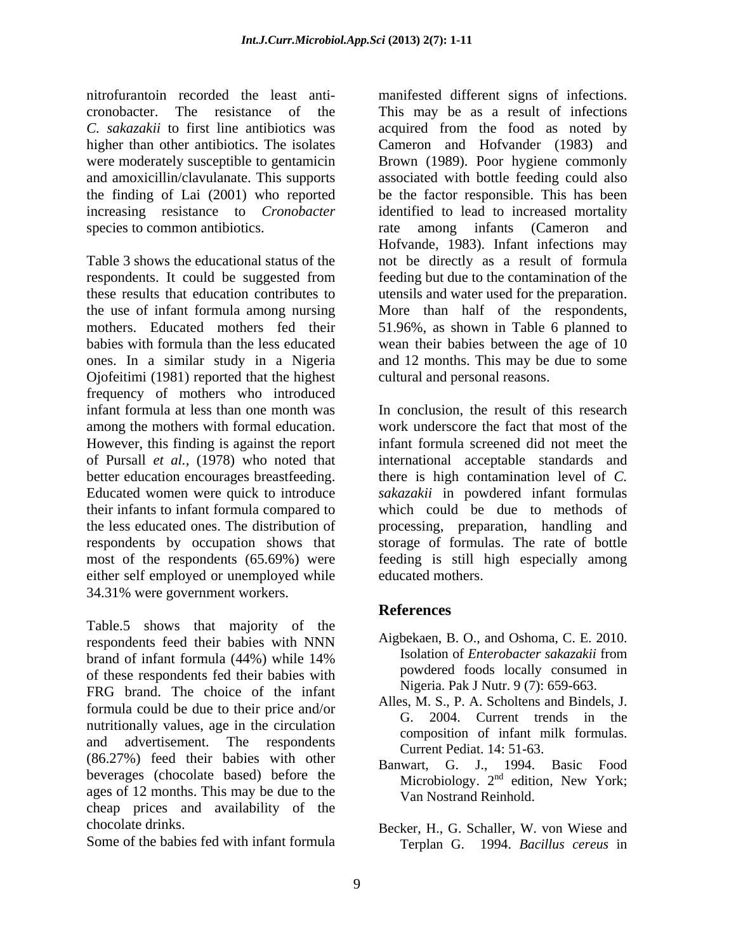nitrofurantoin recorded the least anti- manifested different signs of infections. cronobacter. The resistance of the This may be as a result of infections *C. sakazakii* to first line antibiotics was acquired from the food as noted by higher than other antibiotics. The isolates Cameron and Hofvander (1983) and were moderately susceptible to gentamicin Brown (1989). Poor hygiene commonly and amoxicillin/clavulanate. This supports associated with bottle feeding could also the finding of Lai (2001) who reported be the factor responsible. This has been increasing resistance to *Cronobacter*  identified to lead to increased mortality species to common antibiotics. The rate among infants (Cameron and

Table 3 shows the educational status of the not be directly as a result of formula respondents. It could be suggested from these results that education contributes to the use of infant formula among nursing More than half of the respondents, mothers. Educated mothers fed their 51.96%, as shown in Table 6 planned to babies with formula than the less educated wean their babies between the age of 10 ones. In a similar study in a Nigeria and 12 months. This may be due to some Ojofeitimi (1981) reported that the highest frequency of mothers who introduced infant formula at less than one month was In conclusion, the result of this research among the mothers with formal education. However, this finding is against the report of Pursall *et al.,* (1978) who noted that international acceptable standards and better education encourages breastfeeding. Educated women were quick to introduce their infants to infant formula compared to the less educated ones. The distribution of processing, preparation, handling and respondents by occupation shows that storage of formulas. The rate of bottle most of the respondents (65.69%) were feeding is still high especially among either self employed or unemployed while 34.31% were government workers.

Table.5 shows that majority of the respondents feed their babies with NNN Algoekaen, B. O., and Oshoma, C. E. 2010. brand of infant formula (44%) while 14% **Solution** is a sensor of *Enteropacter sakazakit* from of these respondents fed their babies with FRG brand. The choice of the infant formula could be due to their price and/or nutritionally values, age in the circulation and advertisement. The respondents  $Curront$   $Dedint 14.51.63$ (86.27%) feed their babies with other beverages (chocolate based) before the ages of 12 months. This may be due to the cheap prices and availability of the

Some of the babies fed with infant formula

rate among infants (Cameron and Hofvande, 1983). Infant infections may feeding but due to the contamination of the utensils and water used for the preparation. cultural and personal reasons.

work underscore the fact that most of the infant formula screened did not meet the there is high contamination level of *C. sakazakii* in powdered infant formulas which could be due to methods of educated mothers.

# **References**

- Aigbekaen, B. O., and Oshoma, C. E. 2010. Isolation of *Enterobacter sakazakii* from powdered foods locally consumed in Nigeria. Pak J Nutr. 9 (7): 659-663.
- Alles, M. S., P. A. Scholtens and Bindels, J. G. 2004. Current trends in the composition of infant milk formulas. Current Pediat. 14: 51-63.
- Banwart, G. J., 1994. Basic Food Microbiology. 2<sup>nd</sup> edition, New York; <sup>nd</sup> edition, New York; Van Nostrand Reinhold.
- chocolate drinks. Becker, H., G. Schaller, W. von Wiese and Terplan G. 1994. *Bacillus cereus* in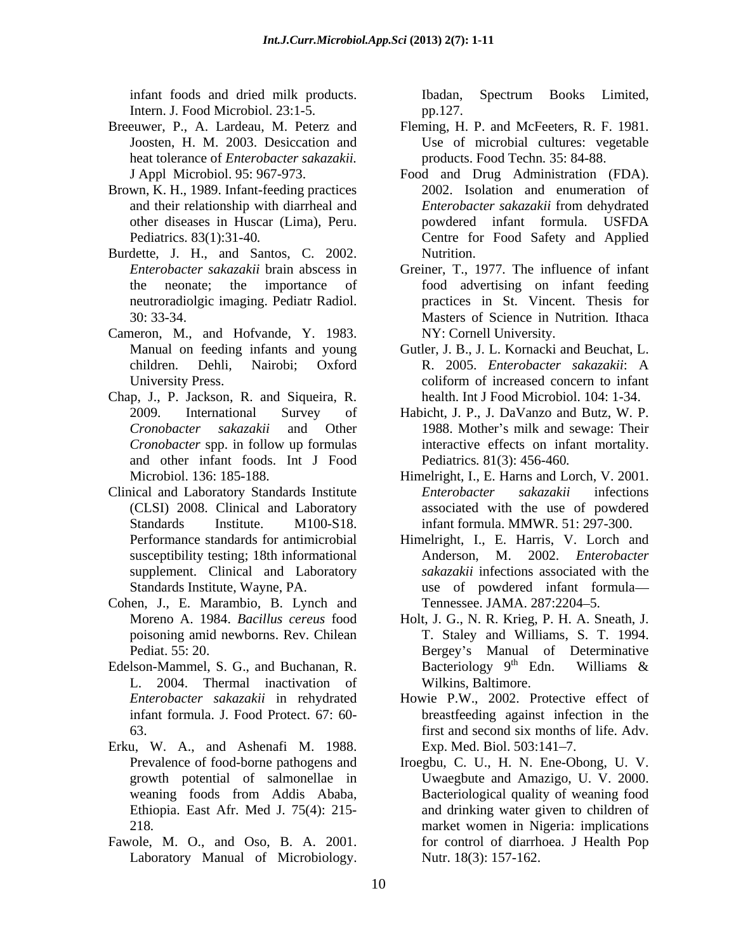infant foods and dried milk products.

- Intern. J. Food Microbiol. 23:1-5. pp.127.<br>Breeuwer, P., A. Lardeau, M. Peterz and Fleming, H heat tolerance of *Enterobacter sakazakii.*
- Brown, K. H., 1989. Infant-feeding practices
- Burdette, J. H., and Santos, C. 2002. Nutrition.
- Cameron, M., and Hofvande, Y. 1983. Manual on feeding infants and young
- Chap, J., P. Jackson, R. and Siqueira, R. and other infant foods. Int J Food
- Clinical and Laboratory Standards Institute *Enterobacter sakazakii* infections susceptibility testing; 18th informational supplement. Clinical and Laboratory
- Cohen, J., E. Marambio, B. Lynch and Tennessee. JAMA. 287:2204-5.
- L. 2004. Thermal inactivation of
- Erku, W. A., and Ashenafi M. 1988.
- Fawole, M. O., and Oso, B. A. 2001. Laboratory Manual of Microbiology.

Ibadan, Spectrum Books Limited, pp.127.

- Breeuwer, P., A. Lardeau, M. Peterz and Fleming, H. P. and McFeeters, R. F. 1981. Joosten, H. M. 2003. Desiccation and Use of microbial cultures: vegetable products. Food Techn*.* 35: 84-88.
	- J Appl Microbiol. 95: 967-973. Food and Drug Administration (FDA). and their relationship with diarrheal and *Enterobacter sakazakii* from dehydrated other diseases in Huscar (Lima), Peru. Pediatrics. 83(1):31-40*.* Centre for Food Safety and Applied 2002. Isolation and enumeration of *Enterobacter sakazakii* from dehydrated powdered infant formula. USFDA Nutrition.
	- *Enterobacter sakazakii* brain abscess in Greiner, T., 1977. The influence of infant the neonate; the importance of food advertising on infant feeding neutroradiolgic imaging. Pediatr Radiol. practices in St. Vincent. Thesis for 30: 33-34. Masters of Science in Nutrition*.* Ithaca NY: Cornell University.
	- children. Dehli, Nairobi: Oxford R. 2005. Enterobacter sakazakii: A University Press. The collection of increased concern to infant Gutler, J. B., J. L. Kornacki and Beuchat, L. R. 2005. *Enterobacter sakazakii*: A coliform of increased concern to infant health. Int J Food Microbiol. 104: 1-34.
	- 2009. International Survey of Habicht, J. P., J. DaVanzo and Butz, W. P. *Cronobacter sakazakii* and Other 1988. Mother's milk and sewage: Their *Cronobacter* spp. in follow up formulas interactive effects on infant mortality. Pediatrics*.* 81(3): 456-460*.*
	- Microbiol. 136: 185-188. Himelright, I., E. Harns and Lorch, V. 2001. (CLSI) 2008. Clinical and Laboratory associated with the use of powdered Standards Institute. M100-S18. infant formula. MMWR. 51: 297-300. *Enterobacter sakazakii* infections
	- Performance standards for antimicrobial Himelright, I., E. Harris, V. Lorch and Standards Institute, Wayne, PA. use of powdered infant formula Anderson, M. 2002. *Enterobacter sakazakii* infections associated with the Tennessee. JAMA. 287:2204–5.
- Moreno A. 1984. *Bacillus cereus* food Holt, J. G., N. R. Krieg, P. H. A. Sneath, J. poisoning amid newborns. Rev. Chilean T. Staley and Williams, S. T. 1994. Pediat. 55: 20. Contract Contract Contract Bergey's Manual of Determinative Edelson-Mammel, S. G., and Buchanan, R. Bacteriology  $9^{th}$  Edn. Williams & Bacteriology 9<sup>th</sup> Edn. Williams & <sup>th</sup> Edn. Williams  $\&$ Wilkins, Baltimore.
	- *Enterobacter sakazakii* in rehydrated Howie P.W., 2002. Protective effect of infant formula. J. Food Protect. 67: 60- breastfeeding against infection in the 63. first and second six months of life. Adv. Exp. Med. Biol. 503:141–7.
	- Prevalence of food-borne pathogens and Iroegbu, C. U., H. N. Ene-Obong, U. V. growth potential of salmonellae in Uwaegbute and Amazigo, U. V. 2000. weaning foods from Addis Ababa, Ethiopia. East Afr. Med J. 75(4): 215- and drinking water given to children of 218*.* market women in Nigeria: implications Bacteriological quality of weaning food for control of diarrhoea. J Health Pop Nutr. 18(3): 157-162.